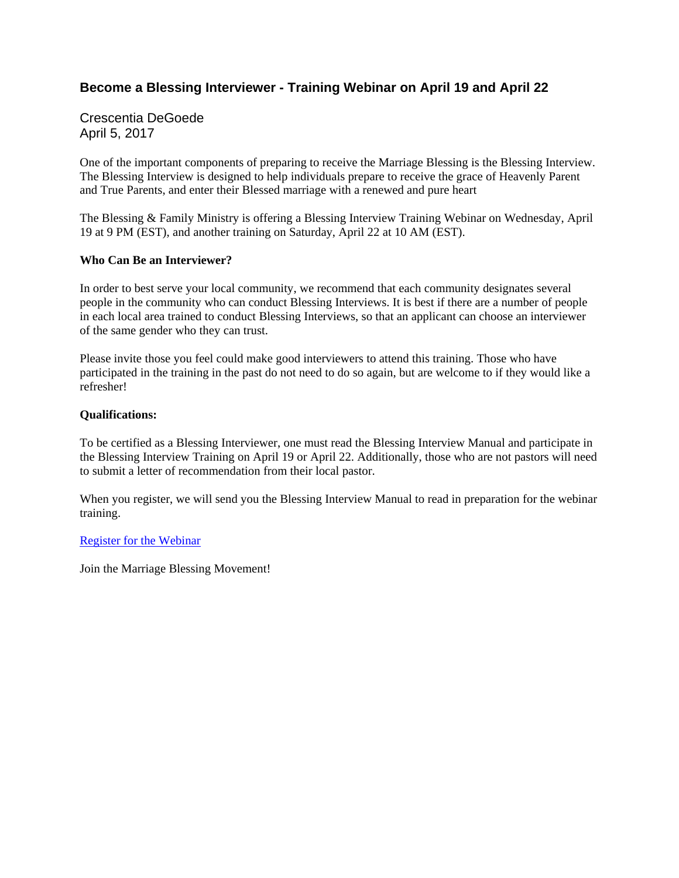## **Become a Blessing Interviewer - Training Webinar on April 19 and April 22**

Crescentia DeGoede April 5, 2017

One of the important components of preparing to receive the Marriage Blessing is the Blessing Interview. The Blessing Interview is designed to help individuals prepare to receive the grace of Heavenly Parent and True Parents, and enter their Blessed marriage with a renewed and pure heart

The Blessing & Family Ministry is offering a Blessing Interview Training Webinar on Wednesday, April 19 at 9 PM (EST), and another training on Saturday, April 22 at 10 AM (EST).

### **Who Can Be an Interviewer?**

In order to best serve your local community, we recommend that each community designates several people in the community who can conduct Blessing Interviews. It is best if there are a number of people in each local area trained to conduct Blessing Interviews, so that an applicant can choose an interviewer of the same gender who they can trust.

Please invite those you feel could make good interviewers to attend this training. Those who have participated in the training in the past do not need to do so again, but are welcome to if they would like a refresher!

### **Qualifications:**

To be certified as a Blessing Interviewer, one must read the Blessing Interview Manual and participate in the Blessing Interview Training on April 19 or April 22. Additionally, those who are not pastors will need to submit a letter of recommendation from their local pastor.

When you register, we will send you the Blessing Interview Manual to read in preparation for the webinar training.

### Register for the Webinar

Join the Marriage Blessing Movement!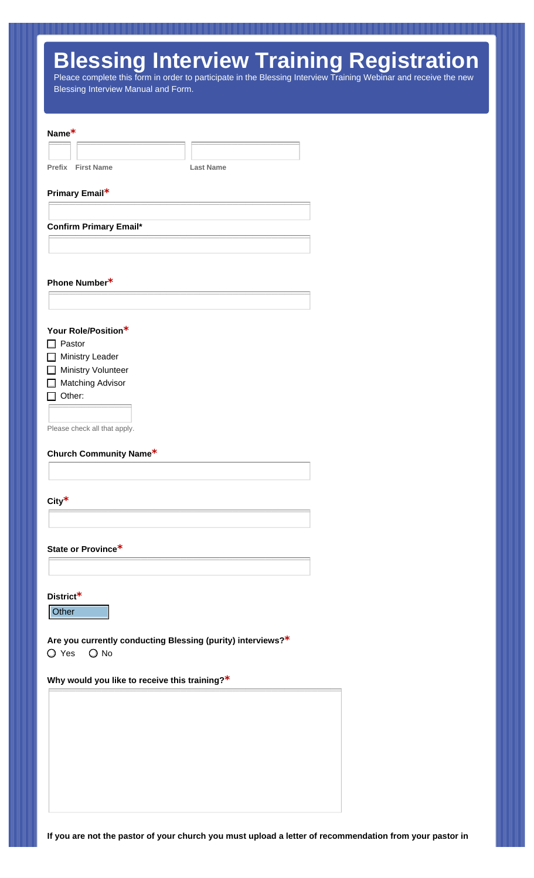# **Blessing Interview Training Registration**

Pleace complete this form in order to participate in the Blessing Interview Training Webinar and receive the new Blessing Interview Manual and Form.

| Name*                                                                     |                  |
|---------------------------------------------------------------------------|------------------|
|                                                                           |                  |
| <b>Prefix</b> First Name                                                  | <b>Last Name</b> |
| Primary Email*                                                            |                  |
|                                                                           |                  |
| <b>Confirm Primary Email*</b>                                             |                  |
|                                                                           |                  |
|                                                                           |                  |
| Phone Number*                                                             |                  |
|                                                                           |                  |
|                                                                           |                  |
| Your Role/Position*                                                       |                  |
| $\Box$ Pastor<br>$\Box$ Ministry Leader                                   |                  |
| <b>Ministry Volunteer</b>                                                 |                  |
| <b>Matching Advisor</b>                                                   |                  |
| Other:                                                                    |                  |
|                                                                           |                  |
|                                                                           |                  |
| Please check all that apply.                                              |                  |
| <b>Church Community Name*</b>                                             |                  |
|                                                                           |                  |
|                                                                           |                  |
| City $*$                                                                  |                  |
|                                                                           |                  |
| State or Province*                                                        |                  |
|                                                                           |                  |
|                                                                           |                  |
| District <sup>*</sup>                                                     |                  |
| Other                                                                     |                  |
|                                                                           |                  |
| Are you currently conducting Blessing (purity) interviews?*<br>O Yes O No |                  |
|                                                                           |                  |
| Why would you like to receive this training?*                             |                  |
|                                                                           |                  |
|                                                                           |                  |
|                                                                           |                  |
|                                                                           |                  |
|                                                                           |                  |
|                                                                           |                  |
|                                                                           |                  |